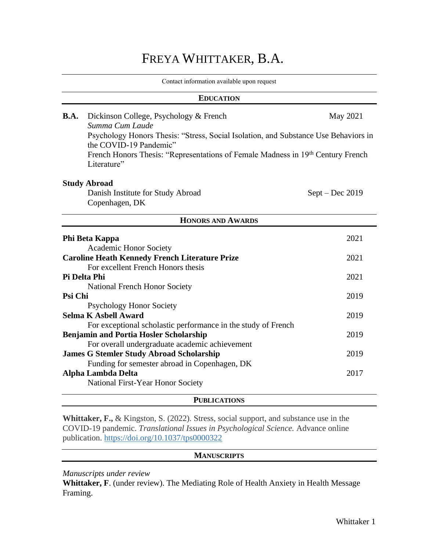# FREYA WHITTAKER, B.A.

Contact information available upon request

| <b>EDUCATION</b> |                                                                                                               |                   |
|------------------|---------------------------------------------------------------------------------------------------------------|-------------------|
| B.A.             | Dickinson College, Psychology & French<br>Summa Cum Laude                                                     | May 2021          |
|                  | Psychology Honors Thesis: "Stress, Social Isolation, and Substance Use Behaviors in<br>the COVID-19 Pandemic" |                   |
|                  | French Honors Thesis: "Representations of Female Madness in 19th Century French<br>Literature"                |                   |
|                  | <b>Study Abroad</b>                                                                                           |                   |
|                  | Danish Institute for Study Abroad<br>Copenhagen, DK                                                           | $Sept - Dec 2019$ |
|                  | <b>HONORS AND AWARDS</b>                                                                                      |                   |
|                  | Phi Beta Kappa                                                                                                | 2021              |
|                  | <b>Academic Honor Society</b><br><b>Caroline Heath Kennedy French Literature Prize</b>                        | 2021              |
|                  | For excellent French Honors thesis                                                                            |                   |
|                  | Pi Delta Phi                                                                                                  | 2021              |
|                  | <b>National French Honor Society</b>                                                                          |                   |
| Psi Chi          |                                                                                                               | 2019              |
|                  | <b>Psychology Honor Society</b>                                                                               |                   |
|                  | <b>Selma K Asbell Award</b><br>For exceptional scholastic performance in the study of French                  | 2019              |
|                  | <b>Benjamin and Portia Hosler Scholarship</b>                                                                 | 2019              |
|                  | For overall undergraduate academic achievement                                                                |                   |
|                  | <b>James G Stemler Study Abroad Scholarship</b>                                                               | 2019              |
|                  | Funding for semester abroad in Copenhagen, DK                                                                 |                   |
|                  | Alpha Lambda Delta                                                                                            | 2017              |
|                  | <b>National First-Year Honor Society</b>                                                                      |                   |
|                  | <b>PUBLICATIONS</b>                                                                                           |                   |

**Whittaker, F.,** & Kingston, S. (2022). Stress, social support, and substance use in the COVID-19 pandemic. *Translational Issues in Psychological Science.* Advance online publication. [https://doi.org/10.1037/tps0000322](https://psycnet.apa.org/doi/10.1037/tps0000322)

#### **MANUSCRIPTS**

*Manuscripts under review*

**Whittaker, F**. (under review). The Mediating Role of Health Anxiety in Health Message Framing.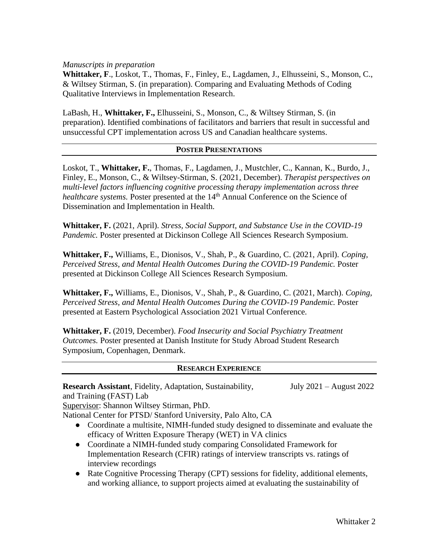### *Manuscripts in preparation*

**Whittaker, F**., Loskot, T., Thomas, F., Finley, E., Lagdamen, J., Elhusseini, S., Monson, C., & Wiltsey Stirman, S. (in preparation). Comparing and Evaluating Methods of Coding Qualitative Interviews in Implementation Research.

LaBash, H., **Whittaker, F.,** Elhusseini, S., Monson, C., & Wiltsey Stirman, S. (in preparation). Identified combinations of facilitators and barriers that result in successful and unsuccessful CPT implementation across US and Canadian healthcare systems.

#### **POSTER PRESENTATIONS**

Loskot, T., **Whittaker, F.**, Thomas, F., Lagdamen, J., Mustchler, C., Kannan, K., Burdo, J., Finley, E., Monson, C., & Wiltsey-Stirman, S. (2021, December). *Therapist perspectives on multi-level factors influencing cognitive processing therapy implementation across three healthcare systems.* Poster presented at the 14<sup>th</sup> Annual Conference on the Science of Dissemination and Implementation in Health.

**Whittaker, F.** (2021, April). *Stress, Social Support, and Substance Use in the COVID-19 Pandemic.* Poster presented at Dickinson College All Sciences Research Symposium.

**Whittaker, F.,** Williams, E., Dionisos, V., Shah, P., & Guardino, C. (2021, April). *Coping, Perceived Stress, and Mental Health Outcomes During the COVID-19 Pandemic.* Poster presented at Dickinson College All Sciences Research Symposium.

**Whittaker, F.,** Williams, E., Dionisos, V., Shah, P., & Guardino, C. (2021, March). *Coping, Perceived Stress, and Mental Health Outcomes During the COVID-19 Pandemic.* Poster presented at Eastern Psychological Association 2021 Virtual Conference.

**Whittaker, F.** (2019, December). *Food Insecurity and Social Psychiatry Treatment Outcomes.* Poster presented at Danish Institute for Study Abroad Student Research Symposium, Copenhagen, Denmark.

#### **RESEARCH EXPERIENCE**

**Research Assistant**, Fidelity, Adaptation, Sustainability, July 2021 – August 2022 and Training (FAST) Lab

Supervisor: Shannon Wiltsey Stirman, PhD.

National Center for PTSD/ Stanford University, Palo Alto, CA

- Coordinate a multisite, NIMH-funded study designed to disseminate and evaluate the efficacy of Written Exposure Therapy (WET) in VA clinics
- Coordinate a NIMH-funded study comparing Consolidated Framework for Implementation Research (CFIR) ratings of interview transcripts vs. ratings of interview recordings
- Rate Cognitive Processing Therapy (CPT) sessions for fidelity, additional elements, and working alliance, to support projects aimed at evaluating the sustainability of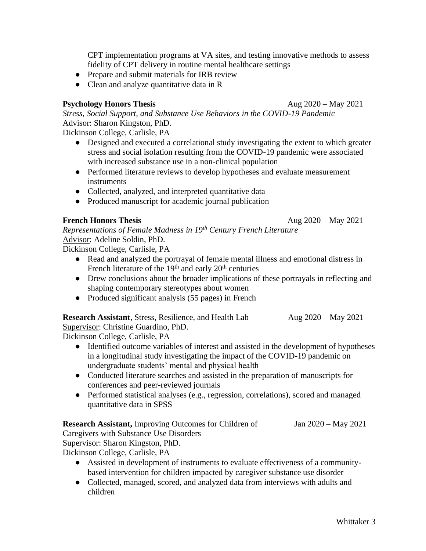CPT implementation programs at VA sites, and testing innovative methods to assess fidelity of CPT delivery in routine mental healthcare settings

- Prepare and submit materials for IRB review
- Clean and analyze quantitative data in R

#### **Psychology Honors Thesis** Aug 2020 – May 2021

*Stress, Social Support, and Substance Use Behaviors in the COVID-19 Pandemic* Advisor: Sharon Kingston, PhD.

Dickinson College, Carlisle, PA

- Designed and executed a correlational study investigating the extent to which greater stress and social isolation resulting from the COVID-19 pandemic were associated with increased substance use in a non-clinical population
- Performed literature reviews to develop hypotheses and evaluate measurement instruments
- Collected, analyzed, and interpreted quantitative data
- Produced manuscript for academic journal publication

# **French Honors Thesis** Aug 2020 – May 2021

*Representations of Female Madness in 19th Century French Literature* Advisor: Adeline Soldin, PhD.

Dickinson College, Carlisle, PA

- Read and analyzed the portrayal of female mental illness and emotional distress in French literature of the 19<sup>th</sup> and early 20<sup>th</sup> centuries
- Drew conclusions about the broader implications of these portrayals in reflecting and shaping contemporary stereotypes about women
- Produced significant analysis (55 pages) in French

#### **Research Assistant**, Stress, Resilience, and Health Lab Aug 2020 – May 2021 Supervisor: Christine Guardino, PhD.

Dickinson College, Carlisle, PA

- Identified outcome variables of interest and assisted in the development of hypotheses in a longitudinal study investigating the impact of the COVID-19 pandemic on undergraduate students' mental and physical health
- Conducted literature searches and assisted in the preparation of manuscripts for conferences and peer-reviewed journals
- Performed statistical analyses (e.g., regression, correlations), scored and managed quantitative data in SPSS

**Research Assistant,** Improving Outcomes for Children of Jan 2020 – May 2021 Caregivers with Substance Use Disorders

Supervisor: Sharon Kingston, PhD.

Dickinson College, Carlisle, PA

- Assisted in development of instruments to evaluate effectiveness of a communitybased intervention for children impacted by caregiver substance use disorder
- Collected, managed, scored, and analyzed data from interviews with adults and children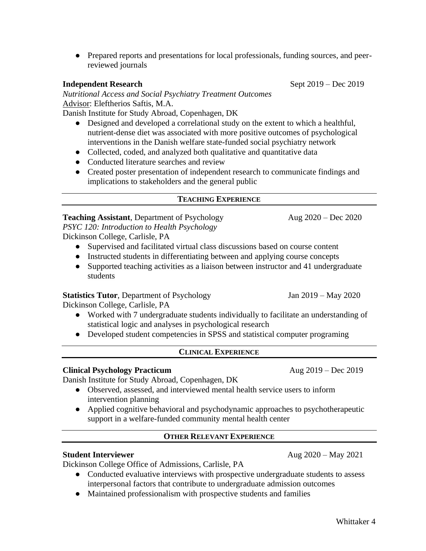● Prepared reports and presentations for local professionals, funding sources, and peerreviewed journals

Whittaker 4

# **Independent Research** Sept 2019 – Dec 2019

*Nutritional Access and Social Psychiatry Treatment Outcomes* Advisor: Eleftherios Saftis, M.A.

Danish Institute for Study Abroad, Copenhagen, DK

- Designed and developed a correlational study on the extent to which a healthful, nutrient-dense diet was associated with more positive outcomes of psychological interventions in the Danish welfare state-funded social psychiatry network
- Collected, coded, and analyzed both qualitative and quantitative data
- Conducted literature searches and review
- Created poster presentation of independent research to communicate findings and implications to stakeholders and the general public

# **TEACHING EXPERIENCE**

**Teaching Assistant**, Department of Psychology Aug 2020 – Dec 2020 *PSYC 120: Introduction to Health Psychology* Dickinson College, Carlisle, PA

- Supervised and facilitated virtual class discussions based on course content
- Instructed students in differentiating between and applying course concepts
- Supported teaching activities as a liaison between instructor and 41 undergraduate students

#### **Statistics Tutor**, Department of Psychology Jan 2019 – May 2020

Dickinson College, Carlisle, PA

- Worked with 7 undergraduate students individually to facilitate an understanding of statistical logic and analyses in psychological research
- Developed student competencies in SPSS and statistical computer programing

# **CLINICAL EXPERIENCE**

#### **Clinical Psychology Practicum** Aug 2019 – Dec 2019

Danish Institute for Study Abroad, Copenhagen, DK

- Observed, assessed, and interviewed mental health service users to inform intervention planning
- Applied cognitive behavioral and psychodynamic approaches to psychotherapeutic support in a welfare-funded community mental health center

# **OTHER RELEVANT EXPERIENCE**

#### **Student Interviewer** Aug 2020 – May 2021

Dickinson College Office of Admissions, Carlisle, PA

- Conducted evaluative interviews with prospective undergraduate students to assess interpersonal factors that contribute to undergraduate admission outcomes
- Maintained professionalism with prospective students and families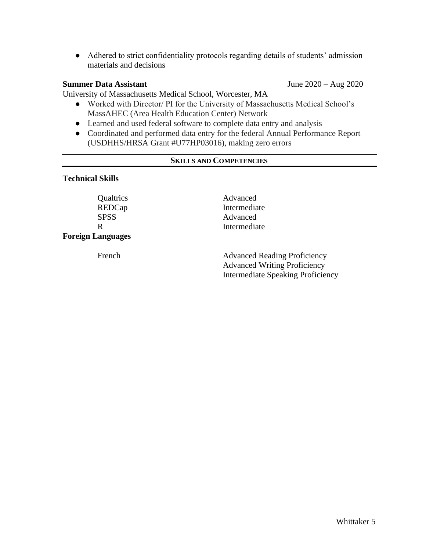• Adhered to strict confidentiality protocols regarding details of students' admission materials and decisions

# **Summer Data Assistant** June 2020 – Aug 2020

University of Massachusetts Medical School, Worcester, MA

- Worked with Director/ PI for the University of Massachusetts Medical School's MassAHEC (Area Health Education Center) Network
- Learned and used federal software to complete data entry and analysis
- Coordinated and performed data entry for the federal Annual Performance Report (USDHHS/HRSA Grant #U77HP03016), making zero errors

### **SKILLS AND COMPETENCIES**

#### **Technical Skills**

**Foreign Languages**

Qualtrics Advanced REDCap Intermediate SPSS Advanced R Intermediate

French Advanced Reading Proficiency Advanced Writing Proficiency Intermediate Speaking Proficiency